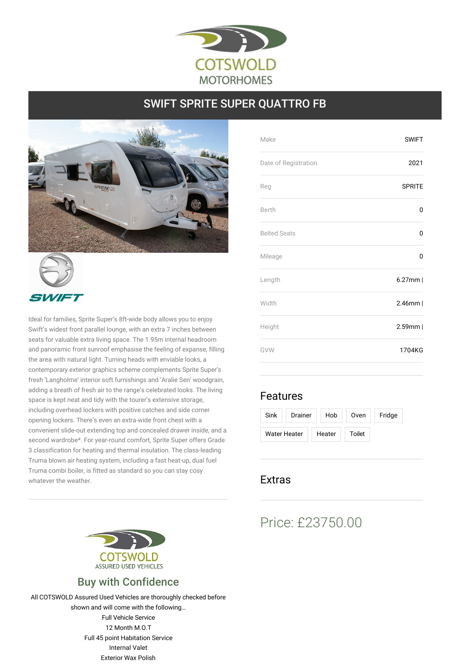

## SWIFT SPRITE SUPER QUATTRO FB





Ideal for families, Sprite Super's 8ft-wide body allows you to enjoy Swift's widest front parallel lounge, with an extra 7 inches between seats for valuable extra living space. The 1.95m internal headroom and panoramic front sunroof emphasise the feeling of expanse, filling the area with natural light. Turning heads with enviable looks, a contemporary exterior graphics scheme complements Sprite Super's fresh 'Langholme' interior soft furnishings and 'Aralie Sen' woodgrain, adding a breath of fresh air to the range's celebrated looks. The living space is kept neat and tidy with the tourer's extensive storage, including overhead lockers with positive catches and side corner opening lockers. There's even an extra-wide front chest with a convenient slide-out extending top and concealed drawer inside, and a second wardrobe\*. For year-round comfort, Sprite Super offers Grade 3 classification for heating and thermal insulation. The class-leading Truma blown air heating system, including a fast heat-up, dual fuel Truma combi boiler, is fitted as standard so you can stay cosy whatever the weather.



## Buy with Confidence

All COTSWOLD Assured Used Vehicles are thoroughly checked before shown and will come with the following… Full Vehicle Service 12 Month M.O.T Full 45 point Habitation Service Internal Valet Exterior Wax Polish

| <b>SWIFT</b>  |
|---------------|
| 2021          |
| <b>SPRITE</b> |
| 0             |
| 0             |
| 0             |
| $6.27$ mm     |
| $2.46$ mm     |
| $2.59$ mm     |
| 1704KG        |
|               |

## Features

| Sink         | Drainer |  | Hob    | Oven   | Fridge |
|--------------|---------|--|--------|--------|--------|
| Water Heater |         |  | Heater | Toilet |        |

## Extras

# Price: £23750.00